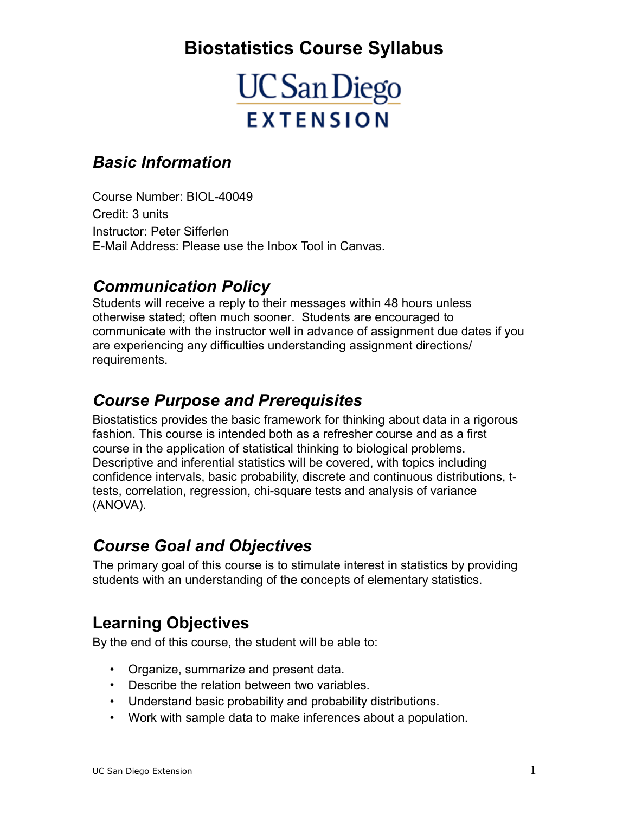# **Biostatistics Course Syllabus**

# **UC** San Diego **EXTENSION**

#### *Basic Information*

Course Number: BIOL-40049 Credit: 3 units Instructor: Peter Sifferlen E-Mail Address: Please use the Inbox Tool in Canvas.

#### *Communication Policy*

Students will receive a reply to their messages within 48 hours unless otherwise stated; often much sooner. Students are encouraged to communicate with the instructor well in advance of assignment due dates if you are experiencing any difficulties understanding assignment directions/ requirements.

## *Course Purpose and Prerequisites*

Biostatistics provides the basic framework for thinking about data in a rigorous fashion. This course is intended both as a refresher course and as a first course in the application of statistical thinking to biological problems. Descriptive and inferential statistics will be covered, with topics including confidence intervals, basic probability, discrete and continuous distributions, ttests, correlation, regression, chi-square tests and analysis of variance (ANOVA).

## *Course Goal and Objectives*

The primary goal of this course is to stimulate interest in statistics by providing students with an understanding of the concepts of elementary statistics.

## **Learning Objectives**

By the end of this course, the student will be able to:

- Organize, summarize and present data.
- Describe the relation between two variables.
- Understand basic probability and probability distributions.
- Work with sample data to make inferences about a population.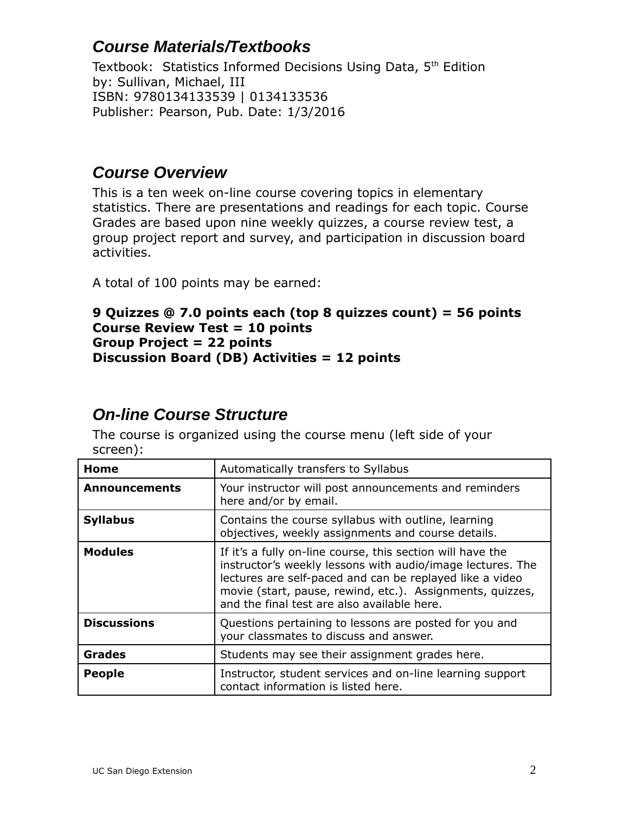## **Course Materials/Textbooks**

Textbook: Statistics Informed Decisions Using Data, 5<sup>th</sup> Edition by: Sullivan, Michael, III ISBN: 9780134133539 | 0134133536 Publisher: Pearson, Pub. Date: 1/3/2016

#### **Course Overview**

This is a ten week on-line course covering topics in elementary statistics. There are presentations and readings for each topic. Course Grades are based upon nine weekly quizzes, a course review test, a group project report and survey, and participation in discussion board activities.

A total of 100 points may be earned:

#### **9 Quizzes @ 7.0 points each (top 8 quizzes count) = 56 points Course Review Test = 10 points Group Project = 22 points Discussion Board (DB) Activities = 12 points**

#### **On-line Course Structure**

The course is organized using the course menu (left side of your screen):

| Home                 | Automatically transfers to Syllabus                                                                                                                                                                                                                                                              |  |  |
|----------------------|--------------------------------------------------------------------------------------------------------------------------------------------------------------------------------------------------------------------------------------------------------------------------------------------------|--|--|
| <b>Announcements</b> | Your instructor will post announcements and reminders<br>here and/or by email.                                                                                                                                                                                                                   |  |  |
| <b>Syllabus</b>      | Contains the course syllabus with outline, learning<br>objectives, weekly assignments and course details.                                                                                                                                                                                        |  |  |
| <b>Modules</b>       | If it's a fully on-line course, this section will have the<br>instructor's weekly lessons with audio/image lectures. The<br>lectures are self-paced and can be replayed like a video<br>movie (start, pause, rewind, etc.). Assignments, quizzes,<br>and the final test are also available here. |  |  |
| <b>Discussions</b>   | Questions pertaining to lessons are posted for you and<br>your classmates to discuss and answer.                                                                                                                                                                                                 |  |  |
| <b>Grades</b>        | Students may see their assignment grades here.                                                                                                                                                                                                                                                   |  |  |
| <b>People</b>        | Instructor, student services and on-line learning support<br>contact information is listed here.                                                                                                                                                                                                 |  |  |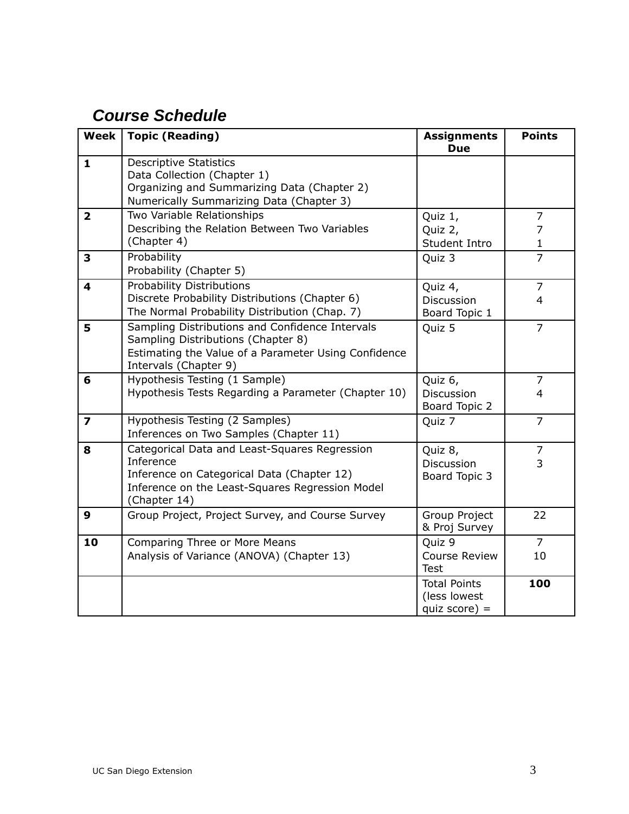## **Course Schedule**

| <b>Week</b>             | <b>Topic (Reading)</b>                                                                                                                                                      | <b>Assignments</b><br><b>Due</b>                       | <b>Points</b>          |
|-------------------------|-----------------------------------------------------------------------------------------------------------------------------------------------------------------------------|--------------------------------------------------------|------------------------|
| $\mathbf{1}$            | <b>Descriptive Statistics</b><br>Data Collection (Chapter 1)<br>Organizing and Summarizing Data (Chapter 2)<br>Numerically Summarizing Data (Chapter 3)                     |                                                        |                        |
| $\overline{\mathbf{2}}$ | Two Variable Relationships<br>Describing the Relation Between Two Variables<br>(Chapter 4)                                                                                  | Quiz 1,<br>Quiz 2,<br>Student Intro                    | 7<br>7<br>$\mathbf{1}$ |
| 3                       | Probability<br>Probability (Chapter 5)                                                                                                                                      | Quiz 3                                                 | $\overline{7}$         |
| 4                       | <b>Probability Distributions</b><br>Discrete Probability Distributions (Chapter 6)<br>The Normal Probability Distribution (Chap. 7)                                         | Quiz 4,<br>Discussion<br>Board Topic 1                 | 7<br>$\overline{4}$    |
| 5                       | Sampling Distributions and Confidence Intervals<br>Sampling Distributions (Chapter 8)<br>Estimating the Value of a Parameter Using Confidence<br>Intervals (Chapter 9)      | Quiz 5                                                 | $\overline{7}$         |
| 6                       | Hypothesis Testing (1 Sample)<br>Hypothesis Tests Regarding a Parameter (Chapter 10)                                                                                        | Quiz 6,<br>Discussion<br>Board Topic 2                 | $\overline{7}$<br>4    |
| $\overline{\mathbf{z}}$ | Hypothesis Testing (2 Samples)<br>Inferences on Two Samples (Chapter 11)                                                                                                    | Quiz 7                                                 | $\overline{7}$         |
| 8                       | Categorical Data and Least-Squares Regression<br>Inference<br>Inference on Categorical Data (Chapter 12)<br>Inference on the Least-Squares Regression Model<br>(Chapter 14) | Quiz 8,<br>Discussion<br>Board Topic 3                 | $\overline{7}$<br>3    |
| 9                       | Group Project, Project Survey, and Course Survey                                                                                                                            | Group Project<br>& Proj Survey                         | 22                     |
| 10                      | Comparing Three or More Means<br>Analysis of Variance (ANOVA) (Chapter 13)                                                                                                  | Quiz 9<br><b>Course Review</b><br><b>Test</b>          | $\overline{7}$<br>10   |
|                         |                                                                                                                                                                             | <b>Total Points</b><br>(less lowest<br>quiz score) $=$ | 100                    |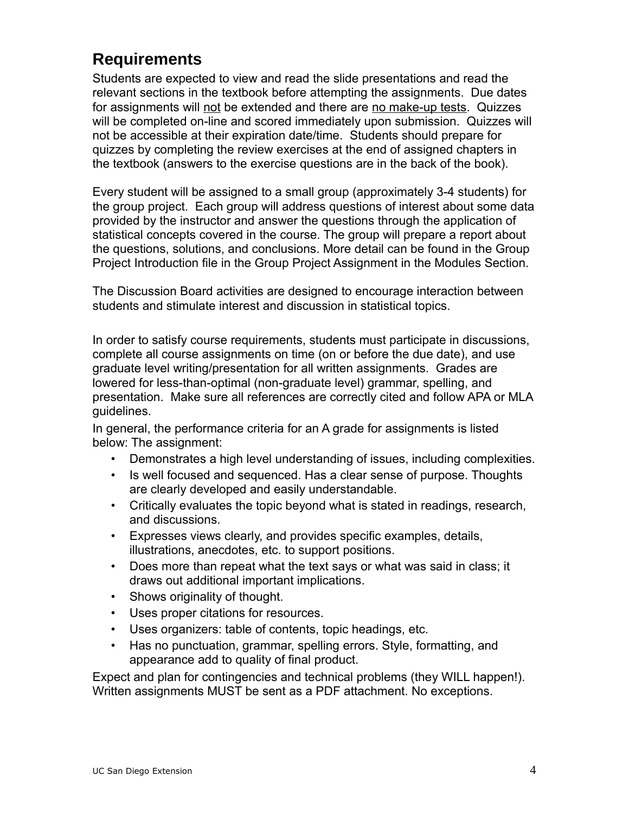## **Requirements**

Students are expected to view and read the slide presentations and read the relevant sections in the textbook before attempting the assignments. Due dates for assignments will not be extended and there are no make-up tests. Quizzes will be completed on-line and scored immediately upon submission. Quizzes will not be accessible at their expiration date/time. Students should prepare for quizzes by completing the review exercises at the end of assigned chapters in the textbook (answers to the exercise questions are in the back of the book).

Every student will be assigned to a small group (approximately 3-4 students) for the group project. Each group will address questions of interest about some data provided by the instructor and answer the questions through the application of statistical concepts covered in the course. The group will prepare a report about the questions, solutions, and conclusions. More detail can be found in the Group Project Introduction file in the Group Project Assignment in the Modules Section.

The Discussion Board activities are designed to encourage interaction between students and stimulate interest and discussion in statistical topics.

In order to satisfy course requirements, students must participate in discussions, complete all course assignments on time (on or before the due date), and use graduate level writing/presentation for all written assignments. Grades are lowered for less-than-optimal (non-graduate level) grammar, spelling, and presentation. Make sure all references are correctly cited and follow APA or MLA guidelines.

In general, the performance criteria for an A grade for assignments is listed below: The assignment:

- Demonstrates a high level understanding of issues, including complexities.
- Is well focused and sequenced. Has a clear sense of purpose. Thoughts are clearly developed and easily understandable.
- Critically evaluates the topic beyond what is stated in readings, research, and discussions.
- Expresses views clearly, and provides specific examples, details, illustrations, anecdotes, etc. to support positions.
- Does more than repeat what the text says or what was said in class; it draws out additional important implications.
- Shows originality of thought.
- Uses proper citations for resources.
- Uses organizers: table of contents, topic headings, etc.
- Has no punctuation, grammar, spelling errors. Style, formatting, and appearance add to quality of final product.

Expect and plan for contingencies and technical problems (they WILL happen!). Written assignments MUST be sent as a PDF attachment. No exceptions.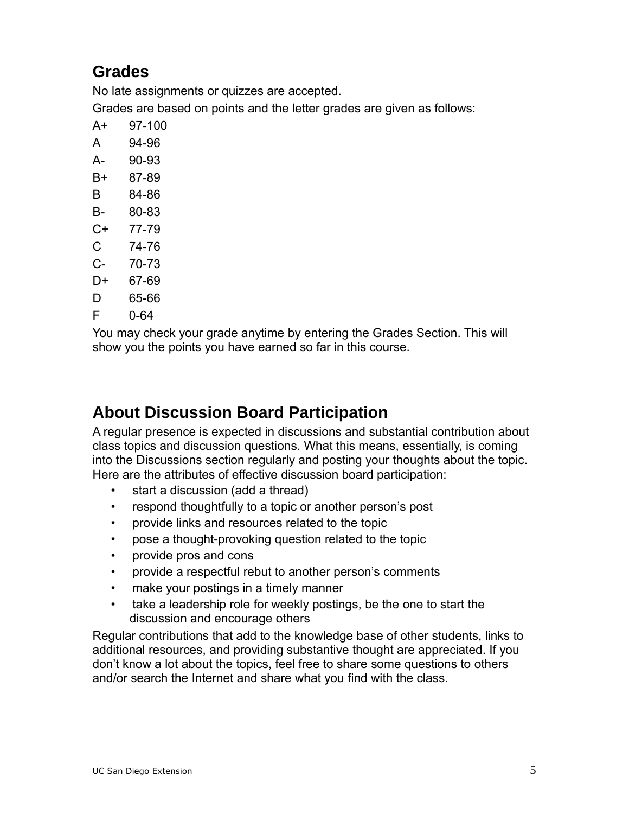## **Grades**

No late assignments or quizzes are accepted.

Grades are based on points and the letter grades are given as follows:

- A+ 97-100
- A 94-96
- A- 90-93
- B+ 87-89
- B 84-86
- B- 80-83
- C+ 77-79
- C 74-76
- C- 70-73
- D+ 67-69
- D 65-66
- F 0-64

You may check your grade anytime by entering the Grades Section. This will show you the points you have earned so far in this course.

## **About Discussion Board Participation**

A regular presence is expected in discussions and substantial contribution about class topics and discussion questions. What this means, essentially, is coming into the Discussions section regularly and posting your thoughts about the topic. Here are the attributes of effective discussion board participation:

- start a discussion (add a thread)
- respond thoughtfully to a topic or another person's post
- provide links and resources related to the topic
- pose a thought-provoking question related to the topic
- provide pros and cons
- provide a respectful rebut to another person's comments
- make your postings in a timely manner
- take a leadership role for weekly postings, be the one to start the discussion and encourage others

Regular contributions that add to the knowledge base of other students, links to additional resources, and providing substantive thought are appreciated. If you don't know a lot about the topics, feel free to share some questions to others and/or search the Internet and share what you find with the class.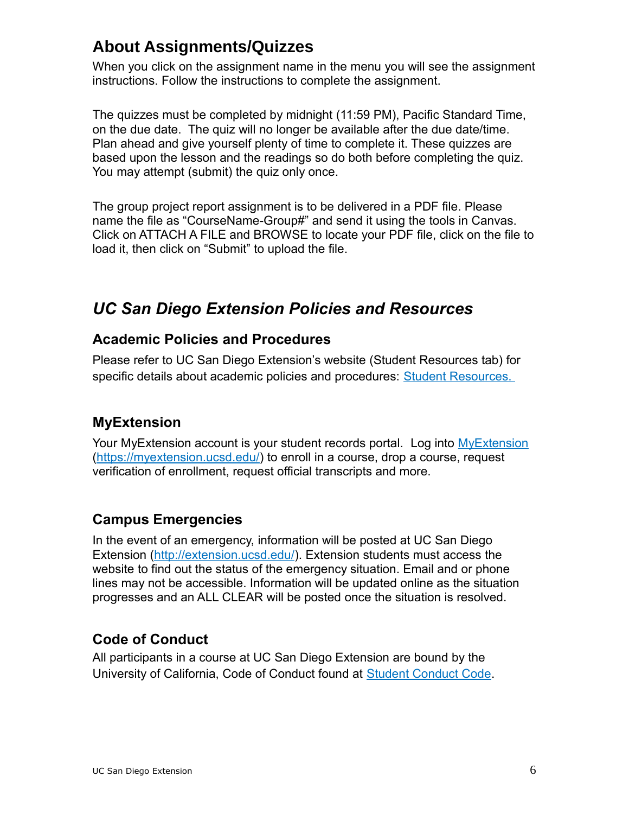## **About Assignments/Quizzes**

When you click on the assignment name in the menu you will see the assignment instructions. Follow the instructions to complete the assignment.

The quizzes must be completed by midnight (11:59 PM), Pacific Standard Time, on the due date. The quiz will no longer be available after the due date/time. Plan ahead and give yourself plenty of time to complete it. These quizzes are based upon the lesson and the readings so do both before completing the quiz. You may attempt (submit) the quiz only once.

The group project report assignment is to be delivered in a PDF file. Please name the file as "CourseName-Group#" and send it using the tools in Canvas. Click on ATTACH A FILE and BROWSE to locate your PDF file, click on the file to load it, then click on "Submit" to upload the file.

## *UC San Diego Extension Policies and Resources*

#### **Academic Policies and Procedures**

Please refer to UC San Diego Extension's website (Student Resources tab) for specific details about academic policies and procedures: Student Resources.

#### **MyExtension**

Your [MyExtension](https://myextension.ucsd.edu/) account is your student records portal. Log into MyExtension [\(https://myextension.ucsd.edu/\)](https://myextension.ucsd.edu/) to enroll in a course, drop a course, request verification of enrollment, request official transcripts and more.

#### **Campus Emergencies**

In the event of an emergency, information will be posted at UC San Diego Extension [\(http://extension.ucsd.edu/\)](http://extension.ucsd.edu/). Extension students must access the website to find out the status of the emergency situation. Email and or phone lines may not be accessible. Information will be updated online as the situation progresses and an ALL CLEAR will be posted once the situation is resolved.

#### **Code of Conduct**

All participants in a course at UC San Diego Extension are bound by the University of California, Code of Conduct found at [Student Conduct Code.](https://students.ucsd.edu/sponsor/student-conduct/regulations/22.00.html?_ga=2.19929918.70506635.1520890640-1731628651.1507221329)